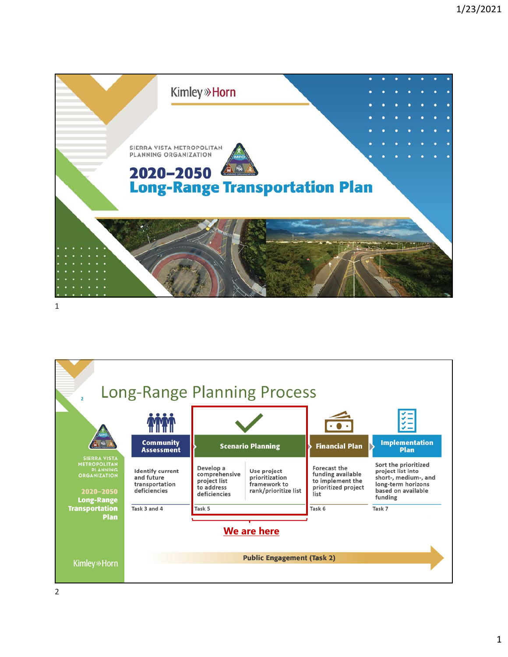

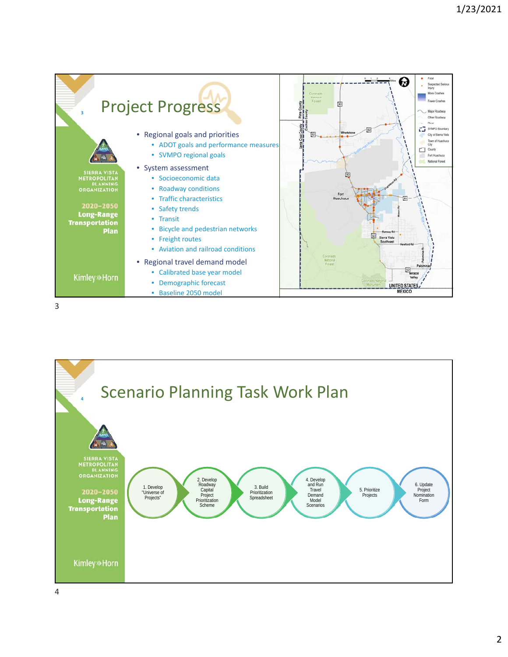

3

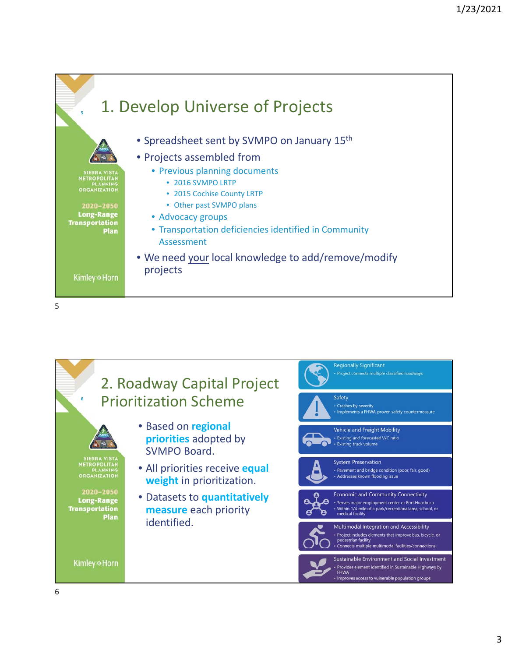

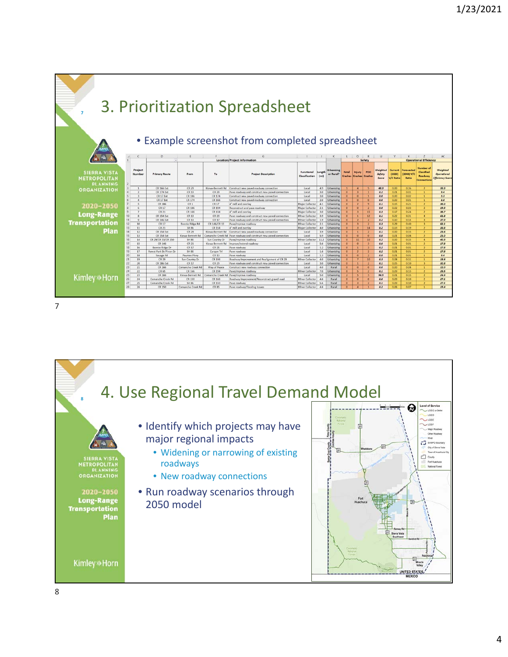

7

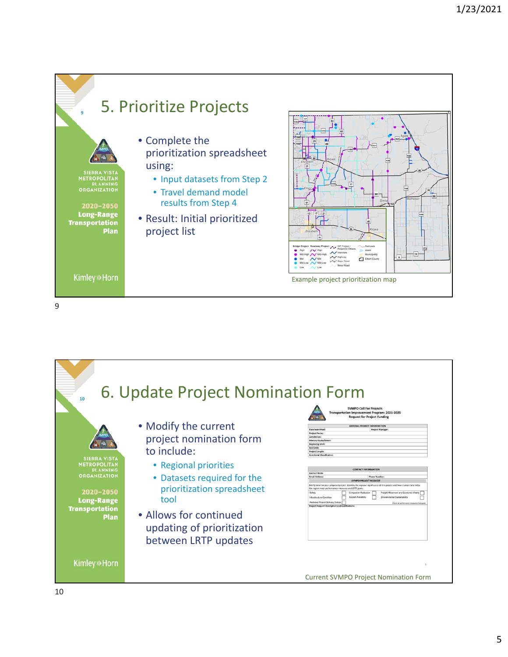

9